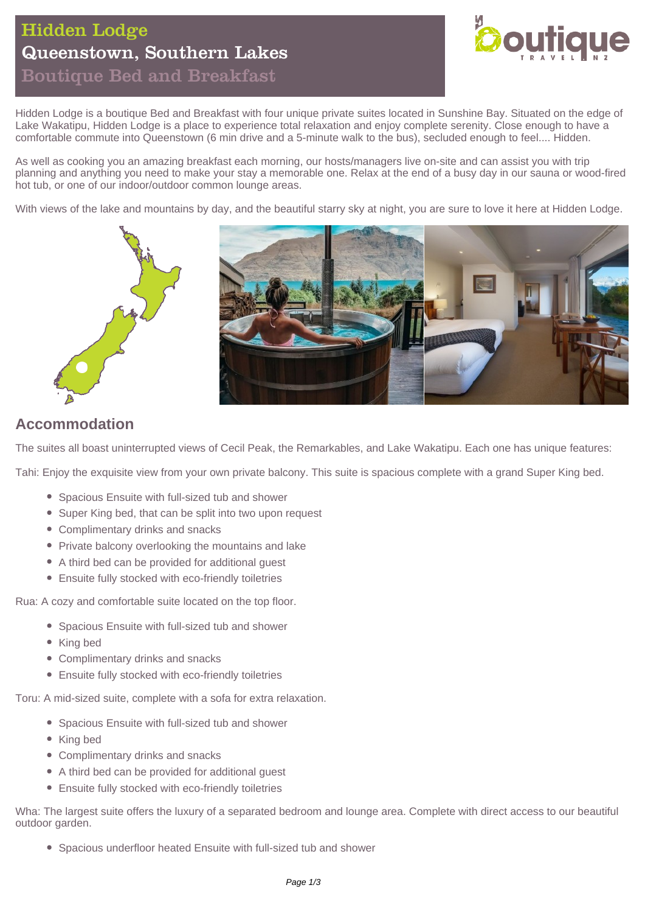# Hidden Lodge Queenstown, Southern Lakes Boutique Bed and Breakfast



Hidden Lodge is a boutique Bed and Breakfast with four unique private suites located in Sunshine Bay. Situated on the edge of Lake Wakatipu, Hidden Lodge is a place to experience total relaxation and enjoy complete serenity. Close enough to have a comfortable commute into Queenstown (6 min drive and a 5-minute walk to the bus), secluded enough to feel.... Hidden.

As well as cooking you an amazing breakfast each morning, our hosts/managers live on-site and can assist you with trip planning and anything you need to make your stay a memorable one. Relax at the end of a busy day in our sauna or wood-fired hot tub, or one of our indoor/outdoor common lounge areas.

With views of the lake and mountains by day, and the beautiful starry sky at night, you are sure to love it here at Hidden Lodge.



# **Accommodation**

The suites all boast uninterrupted views of Cecil Peak, the Remarkables, and Lake Wakatipu. Each one has unique features:

Tahi: Enjoy the exquisite view from your own private balcony. This suite is spacious complete with a grand Super King bed.

- Spacious Ensuite with full-sized tub and shower
- Super King bed, that can be split into two upon request
- Complimentary drinks and snacks
- Private balcony overlooking the mountains and lake
- A third bed can be provided for additional guest
- Ensuite fully stocked with eco-friendly toiletries

Rua: A cozy and comfortable suite located on the top floor.

- Spacious Ensuite with full-sized tub and shower
- King bed
- Complimentary drinks and snacks
- Ensuite fully stocked with eco-friendly toiletries

Toru: A mid-sized suite, complete with a sofa for extra relaxation.

- Spacious Ensuite with full-sized tub and shower
- King bed
- Complimentary drinks and snacks
- A third bed can be provided for additional quest
- Ensuite fully stocked with eco-friendly toiletries

Wha: The largest suite offers the luxury of a separated bedroom and lounge area. Complete with direct access to our beautiful outdoor garden.

Spacious underfloor heated Ensuite with full-sized tub and shower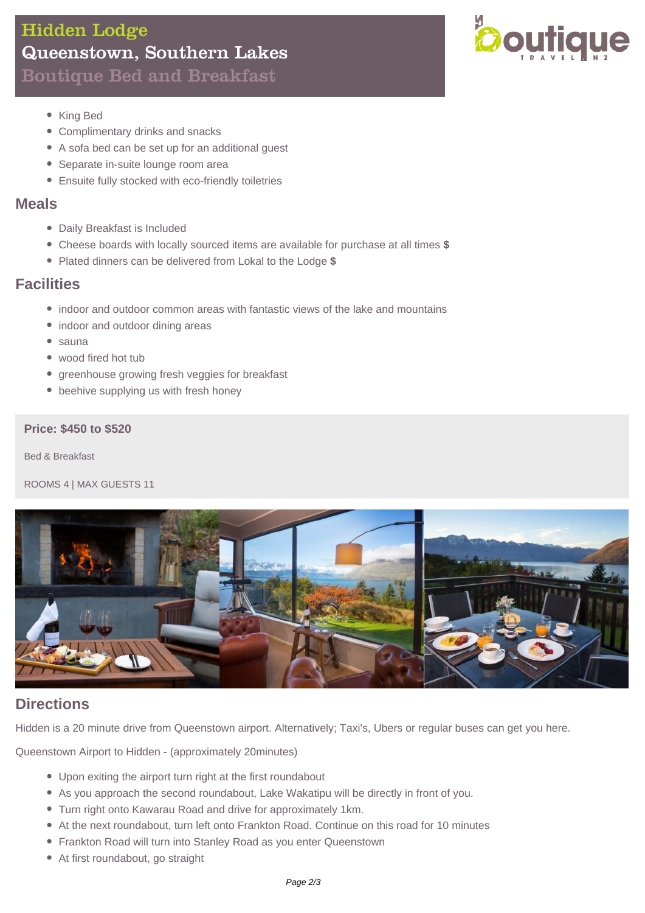# Hidden Lodge Queenstown, Southern Lakes Boutique Bed and Breakfast



- King Bed
- Complimentary drinks and snacks
- A sofa bed can be set up for an additional guest
- Separate in-suite lounge room area
- Ensuite fully stocked with eco-friendly toiletries

### **Meals**

- Daily Breakfast is Included
- Cheese boards with locally sourced items are available for purchase at all times **\$**
- Plated dinners can be delivered from Lokal to the Lodge **\$**

## **Facilities**

- indoor and outdoor common areas with fantastic views of the lake and mountains
- indoor and outdoor dining areas
- $\bullet$  sauna
- wood fired hot tub
- greenhouse growing fresh veggies for breakfast
- beehive supplying us with fresh honey

### **Price: \$450 to \$520**

Bed & Breakfast

ROOMS 4 | MAX GUESTS 11



## **Directions**

Hidden is a 20 minute drive from Queenstown airport. Alternatively; Taxi's, Ubers or regular buses can get you here.

Queenstown Airport to Hidden - (approximately 20minutes)

- Upon exiting the airport turn right at the first roundabout
- As you approach the second roundabout, Lake Wakatipu will be directly in front of you.
- Turn right onto Kawarau Road and drive for approximately 1km.
- At the next roundabout, turn left onto Frankton Road. Continue on this road for 10 minutes
- Frankton Road will turn into Stanley Road as you enter Queenstown
- At first roundabout, go straight